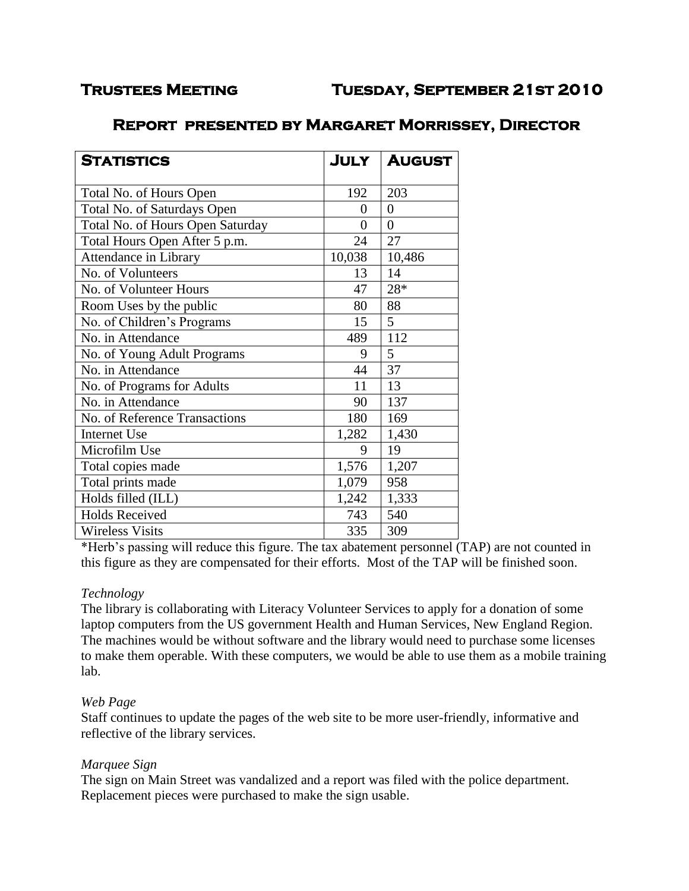# **Trustees Meeting Tuesday, September 21st 2010**

# **Report presented by Margaret Morrissey, Director**

| <b>STATISTICS</b>                | JULY     | <b>AUGUST</b>  |
|----------------------------------|----------|----------------|
| Total No. of Hours Open          | 192      | 203            |
| Total No. of Saturdays Open      | 0        | $\overline{0}$ |
| Total No. of Hours Open Saturday | $\theta$ | $\overline{0}$ |
| Total Hours Open After 5 p.m.    | 24       | 27             |
| Attendance in Library            | 10,038   | 10,486         |
| No. of Volunteers                | 13       | 14             |
| No. of Volunteer Hours           | 47       | 28*            |
| Room Uses by the public          | 80       | 88             |
| No. of Children's Programs       | 15       | 5 <sup>5</sup> |
| No. in Attendance                | 489      | 112            |
| No. of Young Adult Programs      | 9        | 5              |
| No. in Attendance                | 44       | 37             |
| No. of Programs for Adults       | 11       | 13             |
| No. in Attendance                | 90       | 137            |
| No. of Reference Transactions    | 180      | 169            |
| <b>Internet Use</b>              | 1,282    | 1,430          |
| Microfilm Use                    | 9        | 19             |
| Total copies made                | 1,576    | 1,207          |
| Total prints made                | 1,079    | 958            |
| Holds filled (ILL)               | 1,242    | 1,333          |
| <b>Holds Received</b>            | 743      | 540            |
| <b>Wireless Visits</b>           | 335      | 309            |

\*Herb's passing will reduce this figure. The tax abatement personnel (TAP) are not counted in this figure as they are compensated for their efforts. Most of the TAP will be finished soon.

## *Technology*

The library is collaborating with Literacy Volunteer Services to apply for a donation of some laptop computers from the US government Health and Human Services, New England Region. The machines would be without software and the library would need to purchase some licenses to make them operable. With these computers, we would be able to use them as a mobile training lab.

## *Web Page*

Staff continues to update the pages of the web site to be more user-friendly, informative and reflective of the library services.

## *Marquee Sign*

The sign on Main Street was vandalized and a report was filed with the police department. Replacement pieces were purchased to make the sign usable.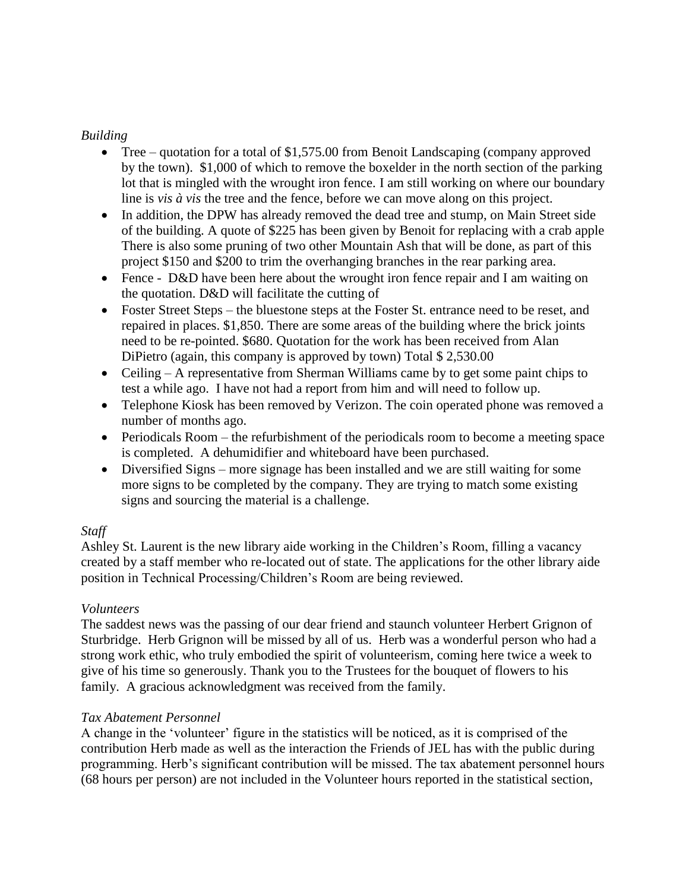## *Building*

- Tree quotation for a total of \$1,575.00 from Benoit Landscaping (company approved by the town). \$1,000 of which to remove the boxelder in the north section of the parking lot that is mingled with the wrought iron fence. I am still working on where our boundary line is *vis à vis* the tree and the fence, before we can move along on this project.
- In addition, the DPW has already removed the dead tree and stump, on Main Street side of the building. A quote of \$225 has been given by Benoit for replacing with a crab apple There is also some pruning of two other Mountain Ash that will be done, as part of this project \$150 and \$200 to trim the overhanging branches in the rear parking area.
- Fence D&D have been here about the wrought iron fence repair and I am waiting on the quotation. D&D will facilitate the cutting of
- Foster Street Steps the bluestone steps at the Foster St. entrance need to be reset, and repaired in places. \$1,850. There are some areas of the building where the brick joints need to be re-pointed. \$680. Quotation for the work has been received from Alan DiPietro (again, this company is approved by town) Total \$ 2,530.00
- Ceiling A representative from Sherman Williams came by to get some paint chips to test a while ago. I have not had a report from him and will need to follow up.
- Telephone Kiosk has been removed by Verizon. The coin operated phone was removed a number of months ago.
- Periodicals Room the refurbishment of the periodicals room to become a meeting space is completed. A dehumidifier and whiteboard have been purchased.
- Diversified Signs more signage has been installed and we are still waiting for some more signs to be completed by the company. They are trying to match some existing signs and sourcing the material is a challenge.

## *Staff*

Ashley St. Laurent is the new library aide working in the Children's Room, filling a vacancy created by a staff member who re-located out of state. The applications for the other library aide position in Technical Processing/Children's Room are being reviewed.

## *Volunteers*

The saddest news was the passing of our dear friend and staunch volunteer Herbert Grignon of Sturbridge. Herb Grignon will be missed by all of us. Herb was a wonderful person who had a strong work ethic, who truly embodied the spirit of volunteerism, coming here twice a week to give of his time so generously. Thank you to the Trustees for the bouquet of flowers to his family. A gracious acknowledgment was received from the family.

## *Tax Abatement Personnel*

A change in the 'volunteer' figure in the statistics will be noticed, as it is comprised of the contribution Herb made as well as the interaction the Friends of JEL has with the public during programming. Herb's significant contribution will be missed. The tax abatement personnel hours (68 hours per person) are not included in the Volunteer hours reported in the statistical section,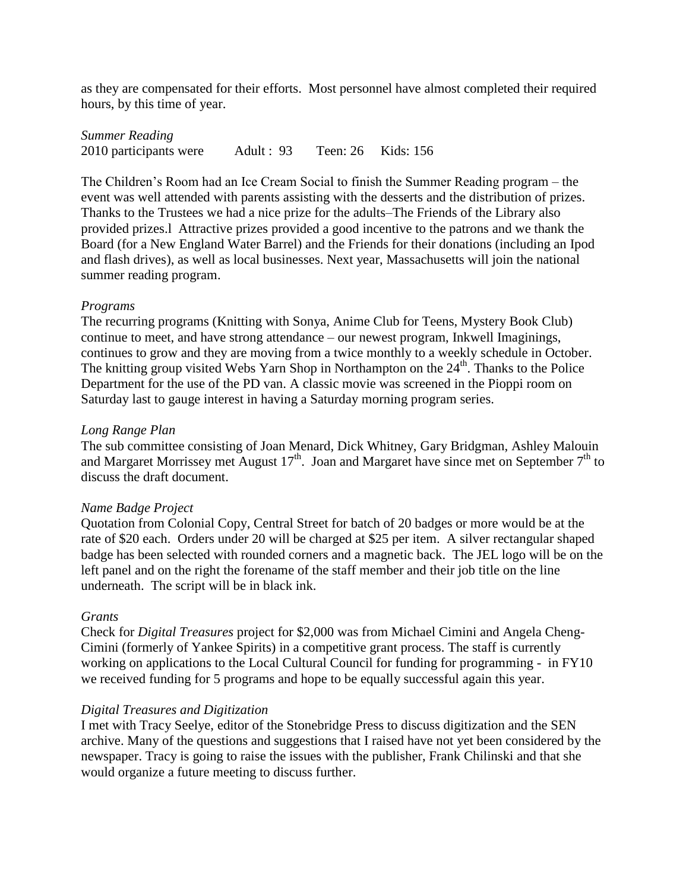as they are compensated for their efforts. Most personnel have almost completed their required hours, by this time of year.

*Summer Reading* 2010 participants were Adult : 93 Teen: 26 Kids: 156

The Children's Room had an Ice Cream Social to finish the Summer Reading program – the event was well attended with parents assisting with the desserts and the distribution of prizes. Thanks to the Trustees we had a nice prize for the adults–The Friends of the Library also provided prizes.l Attractive prizes provided a good incentive to the patrons and we thank the Board (for a New England Water Barrel) and the Friends for their donations (including an Ipod and flash drives), as well as local businesses. Next year, Massachusetts will join the national summer reading program.

### *Programs*

The recurring programs (Knitting with Sonya, Anime Club for Teens, Mystery Book Club) continue to meet, and have strong attendance – our newest program, Inkwell Imaginings, continues to grow and they are moving from a twice monthly to a weekly schedule in October. The knitting group visited Webs Yarn Shop in Northampton on the  $24<sup>th</sup>$ . Thanks to the Police Department for the use of the PD van. A classic movie was screened in the Pioppi room on Saturday last to gauge interest in having a Saturday morning program series.

### *Long Range Plan*

The sub committee consisting of Joan Menard, Dick Whitney, Gary Bridgman, Ashley Malouin and Margaret Morrissey met August  $17<sup>th</sup>$ . Joan and Margaret have since met on September  $7<sup>th</sup>$  to discuss the draft document.

#### *Name Badge Project*

Quotation from Colonial Copy, Central Street for batch of 20 badges or more would be at the rate of \$20 each. Orders under 20 will be charged at \$25 per item. A silver rectangular shaped badge has been selected with rounded corners and a magnetic back. The JEL logo will be on the left panel and on the right the forename of the staff member and their job title on the line underneath. The script will be in black ink.

#### *Grants*

Check for *Digital Treasures* project for \$2,000 was from Michael Cimini and Angela Cheng-Cimini (formerly of Yankee Spirits) in a competitive grant process. The staff is currently working on applications to the Local Cultural Council for funding for programming - in FY10 we received funding for 5 programs and hope to be equally successful again this year.

#### *Digital Treasures and Digitization*

I met with Tracy Seelye, editor of the Stonebridge Press to discuss digitization and the SEN archive. Many of the questions and suggestions that I raised have not yet been considered by the newspaper. Tracy is going to raise the issues with the publisher, Frank Chilinski and that she would organize a future meeting to discuss further.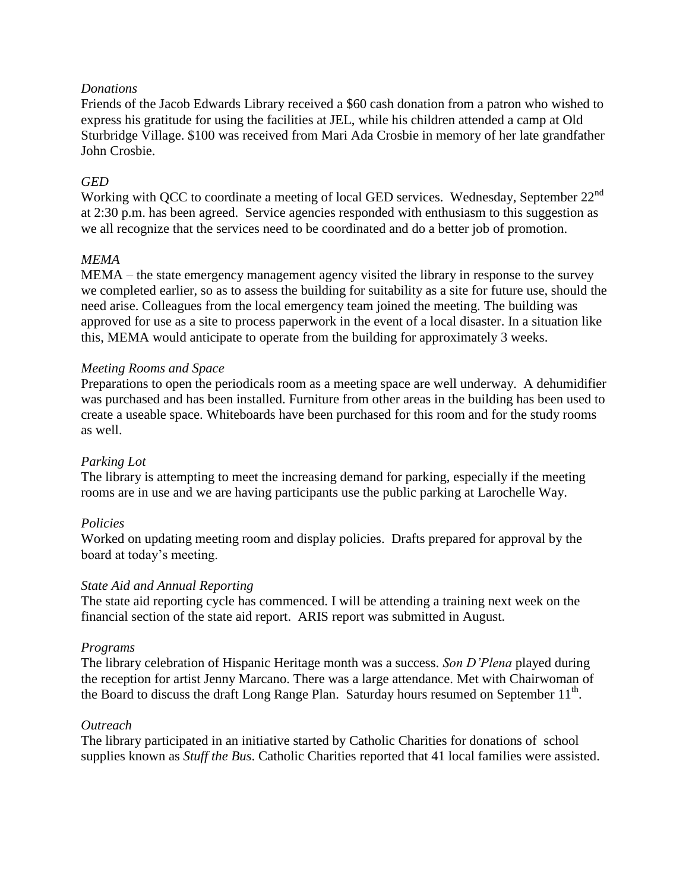## *Donations*

Friends of the Jacob Edwards Library received a \$60 cash donation from a patron who wished to express his gratitude for using the facilities at JEL, while his children attended a camp at Old Sturbridge Village. \$100 was received from Mari Ada Crosbie in memory of her late grandfather John Crosbie.

## *GED*

Working with QCC to coordinate a meeting of local GED services. Wednesday, September 22<sup>nd</sup> at 2:30 p.m. has been agreed. Service agencies responded with enthusiasm to this suggestion as we all recognize that the services need to be coordinated and do a better job of promotion.

## *MEMA*

MEMA – the state emergency management agency visited the library in response to the survey we completed earlier, so as to assess the building for suitability as a site for future use, should the need arise. Colleagues from the local emergency team joined the meeting. The building was approved for use as a site to process paperwork in the event of a local disaster. In a situation like this, MEMA would anticipate to operate from the building for approximately 3 weeks.

## *Meeting Rooms and Space*

Preparations to open the periodicals room as a meeting space are well underway. A dehumidifier was purchased and has been installed. Furniture from other areas in the building has been used to create a useable space. Whiteboards have been purchased for this room and for the study rooms as well.

## *Parking Lot*

The library is attempting to meet the increasing demand for parking, especially if the meeting rooms are in use and we are having participants use the public parking at Larochelle Way.

## *Policies*

Worked on updating meeting room and display policies. Drafts prepared for approval by the board at today's meeting.

## *State Aid and Annual Reporting*

The state aid reporting cycle has commenced. I will be attending a training next week on the financial section of the state aid report. ARIS report was submitted in August.

## *Programs*

The library celebration of Hispanic Heritage month was a success. *Son D'Plena* played during the reception for artist Jenny Marcano. There was a large attendance. Met with Chairwoman of the Board to discuss the draft Long Range Plan. Saturday hours resumed on September  $11<sup>th</sup>$ .

## *Outreach*

The library participated in an initiative started by Catholic Charities for donations of school supplies known as *Stuff the Bus*. Catholic Charities reported that 41 local families were assisted.